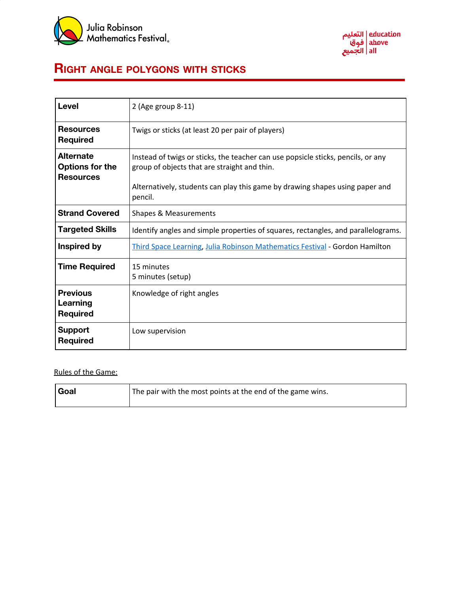



## **RIGHT ANGLE POLYGONS WITH STICKS**

| Level                                                          | 2 (Age group 8-11)                                                                                                                                                                                                          |  |  |  |
|----------------------------------------------------------------|-----------------------------------------------------------------------------------------------------------------------------------------------------------------------------------------------------------------------------|--|--|--|
| <b>Resources</b><br><b>Required</b>                            | Twigs or sticks (at least 20 per pair of players)                                                                                                                                                                           |  |  |  |
| <b>Alternate</b><br><b>Options for the</b><br><b>Resources</b> | Instead of twigs or sticks, the teacher can use popsicle sticks, pencils, or any<br>group of objects that are straight and thin.<br>Alternatively, students can play this game by drawing shapes using paper and<br>pencil. |  |  |  |
| <b>Strand Covered</b>                                          | <b>Shapes &amp; Measurements</b>                                                                                                                                                                                            |  |  |  |
| <b>Targeted Skills</b>                                         | Identify angles and simple properties of squares, rectangles, and parallelograms.                                                                                                                                           |  |  |  |
| <b>Inspired by</b>                                             | Third Space Learning, Julia Robinson Mathematics Festival - Gordon Hamilton                                                                                                                                                 |  |  |  |
| <b>Time Required</b>                                           | 15 minutes<br>5 minutes (setup)                                                                                                                                                                                             |  |  |  |
| <b>Previous</b><br>Learning<br><b>Required</b>                 | Knowledge of right angles                                                                                                                                                                                                   |  |  |  |
| <b>Support</b><br><b>Required</b>                              | Low supervision                                                                                                                                                                                                             |  |  |  |

## Rules of the Game:

| Goal | The pair with the most points at the end of the game wins. |
|------|------------------------------------------------------------|
|------|------------------------------------------------------------|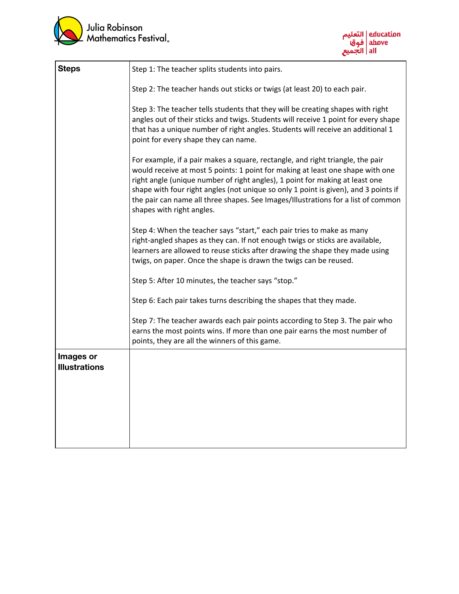



| <b>Steps</b>                      | Step 1: The teacher splits students into pairs.                                                                                                                                                                                                                                                                                                                                                                                                           |  |  |  |  |
|-----------------------------------|-----------------------------------------------------------------------------------------------------------------------------------------------------------------------------------------------------------------------------------------------------------------------------------------------------------------------------------------------------------------------------------------------------------------------------------------------------------|--|--|--|--|
|                                   | Step 2: The teacher hands out sticks or twigs (at least 20) to each pair.                                                                                                                                                                                                                                                                                                                                                                                 |  |  |  |  |
|                                   | Step 3: The teacher tells students that they will be creating shapes with right<br>angles out of their sticks and twigs. Students will receive 1 point for every shape<br>that has a unique number of right angles. Students will receive an additional 1<br>point for every shape they can name.                                                                                                                                                         |  |  |  |  |
|                                   | For example, if a pair makes a square, rectangle, and right triangle, the pair<br>would receive at most 5 points: 1 point for making at least one shape with one<br>right angle (unique number of right angles), 1 point for making at least one<br>shape with four right angles (not unique so only 1 point is given), and 3 points if<br>the pair can name all three shapes. See Images/Illustrations for a list of common<br>shapes with right angles. |  |  |  |  |
|                                   | Step 4: When the teacher says "start," each pair tries to make as many<br>right-angled shapes as they can. If not enough twigs or sticks are available,<br>learners are allowed to reuse sticks after drawing the shape they made using<br>twigs, on paper. Once the shape is drawn the twigs can be reused.                                                                                                                                              |  |  |  |  |
|                                   | Step 5: After 10 minutes, the teacher says "stop."                                                                                                                                                                                                                                                                                                                                                                                                        |  |  |  |  |
|                                   | Step 6: Each pair takes turns describing the shapes that they made.                                                                                                                                                                                                                                                                                                                                                                                       |  |  |  |  |
|                                   | Step 7: The teacher awards each pair points according to Step 3. The pair who<br>earns the most points wins. If more than one pair earns the most number of<br>points, they are all the winners of this game.                                                                                                                                                                                                                                             |  |  |  |  |
| Images or<br><b>Illustrations</b> |                                                                                                                                                                                                                                                                                                                                                                                                                                                           |  |  |  |  |
|                                   |                                                                                                                                                                                                                                                                                                                                                                                                                                                           |  |  |  |  |
|                                   |                                                                                                                                                                                                                                                                                                                                                                                                                                                           |  |  |  |  |
|                                   |                                                                                                                                                                                                                                                                                                                                                                                                                                                           |  |  |  |  |